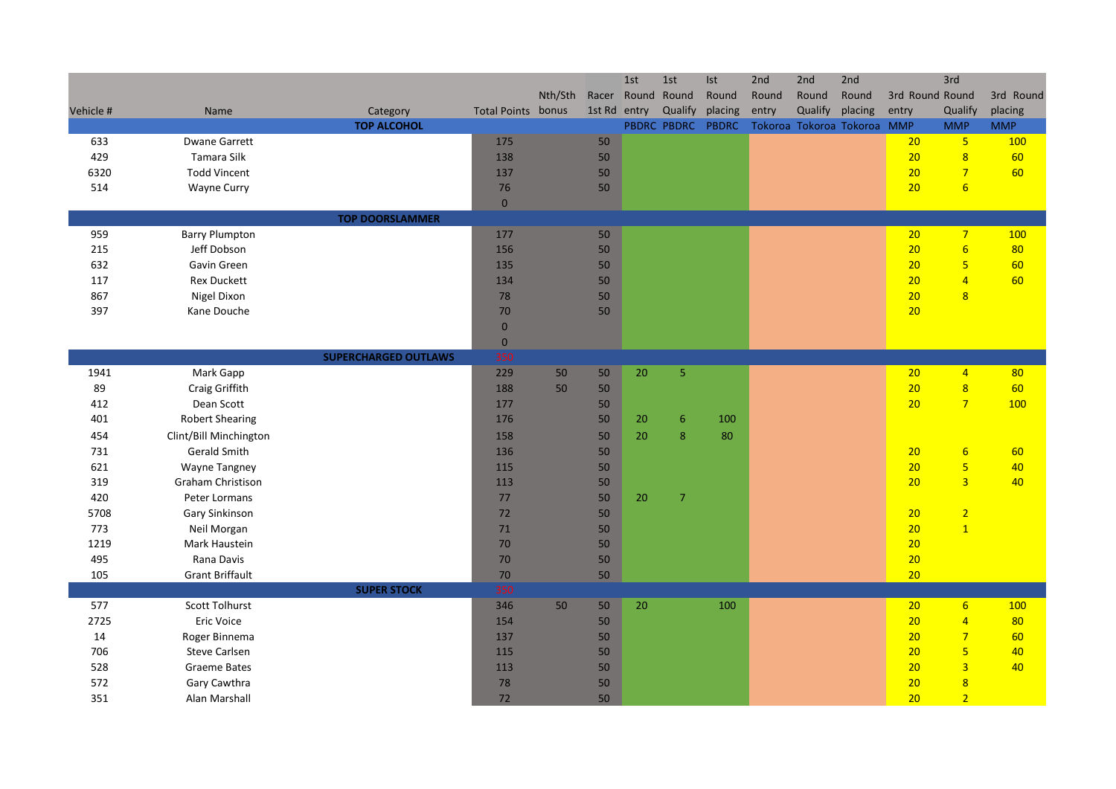|           |                        |                             |                           |         |              | 1st | 1st               | Ist     | 2nd   | 2nd     | 2nd                         |                 | 3rd                     |            |
|-----------|------------------------|-----------------------------|---------------------------|---------|--------------|-----|-------------------|---------|-------|---------|-----------------------------|-----------------|-------------------------|------------|
|           |                        |                             |                           | Nth/Sth |              |     | Racer Round Round | Round   | Round | Round   | Round                       | 3rd Round Round |                         | 3rd Round  |
| Vehicle # | Name                   | Category                    | <b>Total Points bonus</b> |         | 1st Rd entry |     | Qualify           | placing | entry | Qualify | placing                     | entry           | Qualify                 | placing    |
|           |                        | <b>TOP ALCOHOL</b>          |                           |         |              |     | PBDRC PBDRC       | PBDRC   |       |         | Tokoroa Tokoroa Tokoroa MMP |                 | <b>MMP</b>              | <b>MMP</b> |
| 633       | <b>Dwane Garrett</b>   |                             | 175                       |         | 50           |     |                   |         |       |         |                             | 20              | $5\overline{)}$         | <b>100</b> |
| 429       | Tamara Silk            |                             | 138                       |         | 50           |     |                   |         |       |         |                             | 20              | $\overline{8}$          | 60         |
| 6320      | <b>Todd Vincent</b>    |                             | 137                       |         | 50           |     |                   |         |       |         |                             | 20              | $\overline{7}$          | 60         |
| 514       | Wayne Curry            |                             | 76                        |         | 50           |     |                   |         |       |         |                             | 20              | $6\overline{6}$         |            |
|           |                        |                             | $\mathbf{0}$              |         |              |     |                   |         |       |         |                             |                 |                         |            |
|           |                        | <b>TOP DOORSLAMMER</b>      |                           |         |              |     |                   |         |       |         |                             |                 |                         |            |
| 959       | <b>Barry Plumpton</b>  |                             | 177                       |         | 50           |     |                   |         |       |         |                             | 20              | $\overline{7}$          | 100        |
| 215       | Jeff Dobson            |                             | 156                       |         | 50           |     |                   |         |       |         |                             | 20              | $6\overline{6}$         | 80         |
| 632       | Gavin Green            |                             | 135                       |         | 50           |     |                   |         |       |         |                             | 20              | $\overline{\mathbf{5}}$ | 60         |
| 117       | <b>Rex Duckett</b>     |                             | 134                       |         | 50           |     |                   |         |       |         |                             | 20              | $\overline{4}$          | 60         |
| 867       | Nigel Dixon            |                             | 78                        |         | 50           |     |                   |         |       |         |                             | 20              | 8                       |            |
| 397       | Kane Douche            |                             | 70                        |         | 50           |     |                   |         |       |         |                             | 20              |                         |            |
|           |                        |                             | $\mathbf{0}$              |         |              |     |                   |         |       |         |                             |                 |                         |            |
|           |                        |                             | $\mathbf{0}$              |         |              |     |                   |         |       |         |                             |                 |                         |            |
|           |                        | <b>SUPERCHARGED OUTLAWS</b> | 350                       |         |              |     |                   |         |       |         |                             |                 |                         |            |
| 1941      | Mark Gapp              |                             | 229                       | 50      | 50           | 20  | 5                 |         |       |         |                             | 20              | $\overline{4}$          | 80         |
| 89        | Craig Griffith         |                             | 188                       | 50      | 50           |     |                   |         |       |         |                             | 20              | $\overline{\mathbf{8}}$ | 60         |
| 412       | Dean Scott             |                             | 177                       |         | 50           |     |                   |         |       |         |                             | 20              | $\overline{7}$          | 100        |
| 401       | <b>Robert Shearing</b> |                             | 176                       |         | 50           | 20  | $6\phantom{.}$    | 100     |       |         |                             |                 |                         |            |
| 454       | Clint/Bill Minchington |                             | 158                       |         | 50           | 20  | 8                 | 80      |       |         |                             |                 |                         |            |
| 731       | Gerald Smith           |                             | 136                       |         | 50           |     |                   |         |       |         |                             | 20              | $6\overline{6}$         | 60         |
| 621       | <b>Wayne Tangney</b>   |                             | 115                       |         | 50           |     |                   |         |       |         |                             | 20              | $\overline{\mathbf{5}}$ | 40         |
| 319       | Graham Christison      |                             | 113                       |         | 50           |     |                   |         |       |         |                             | 20              | $\overline{3}$          | 40         |
| 420       | Peter Lormans          |                             | 77                        |         | 50           | 20  | $\overline{7}$    |         |       |         |                             |                 |                         |            |
| 5708      | Gary Sinkinson         |                             | 72                        |         | 50           |     |                   |         |       |         |                             | 20              | $\overline{2}$          |            |
| 773       | Neil Morgan            |                             | 71                        |         | 50           |     |                   |         |       |         |                             | 20              | $\overline{1}$          |            |
| 1219      | Mark Haustein          |                             | 70                        |         | 50           |     |                   |         |       |         |                             | 20              |                         |            |
| 495       | Rana Davis             |                             | 70                        |         | 50           |     |                   |         |       |         |                             | 20              |                         |            |
| 105       | <b>Grant Briffault</b> |                             | $70$                      |         | 50           |     |                   |         |       |         |                             | 20              |                         |            |
|           |                        | <b>SUPER STOCK</b>          | 350                       |         |              |     |                   |         |       |         |                             |                 |                         |            |
| 577       | Scott Tolhurst         |                             | 346                       | 50      | 50           | 20  |                   | 100     |       |         |                             | 20              | 6 <sup>1</sup>          | 100        |
| 2725      | <b>Eric Voice</b>      |                             | 154                       |         | 50           |     |                   |         |       |         |                             | 20              | $\overline{4}$          | 80         |
| 14        | Roger Binnema          |                             | 137                       |         | 50           |     |                   |         |       |         |                             | 20              | $\overline{7}$          | 60         |
| 706       | Steve Carlsen          |                             | 115                       |         | 50           |     |                   |         |       |         |                             | 20              | $\overline{\mathbf{5}}$ | 40         |
| 528       | <b>Graeme Bates</b>    |                             | 113                       |         | 50           |     |                   |         |       |         |                             | 20              | $\overline{\mathbf{3}}$ | 40         |
| 572       | Gary Cawthra           |                             | 78                        |         | 50           |     |                   |         |       |         |                             | 20              | $\overline{8}$          |            |
| 351       | Alan Marshall          |                             | 72                        |         | 50           |     |                   |         |       |         |                             | 20              | $\overline{2}$          |            |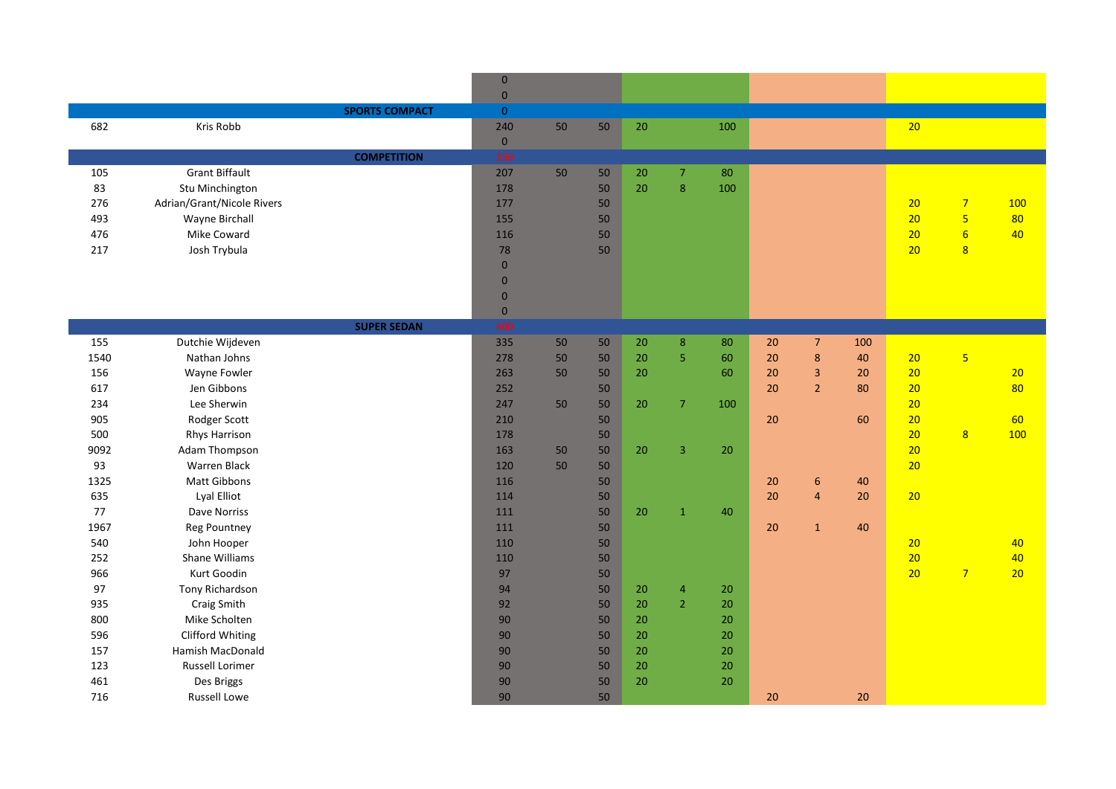|      |                            |                       | $\mathbf{0}$   |    |    |        |                |        |        |                |     |    |                         |     |
|------|----------------------------|-----------------------|----------------|----|----|--------|----------------|--------|--------|----------------|-----|----|-------------------------|-----|
|      |                            |                       | $\,$ 0 $\,$    |    |    |        |                |        |        |                |     |    |                         |     |
|      |                            | <b>SPORTS COMPACT</b> | $\overline{0}$ |    |    |        |                |        |        |                |     |    |                         |     |
| 682  | Kris Robb                  |                       | 240            | 50 | 50 | 20     |                | 100    |        |                |     | 20 |                         |     |
|      |                            |                       | $\mathbf{0}$   |    |    |        |                |        |        |                |     |    |                         |     |
|      |                            | <b>COMPETITION</b>    | 350            |    |    |        |                |        |        |                |     |    |                         |     |
| 105  | <b>Grant Biffault</b>      |                       | 207            | 50 | 50 | $20\,$ | $\mathcal{I}$  | 80     |        |                |     |    |                         |     |
| 83   | Stu Minchington            |                       | 178            |    | 50 | 20     | $\bf 8$        | 100    |        |                |     |    |                         |     |
| 276  | Adrian/Grant/Nicole Rivers |                       | 177            |    | 50 |        |                |        |        |                |     | 20 | $\overline{7}$          | 100 |
| 493  | Wayne Birchall             |                       | 155            |    | 50 |        |                |        |        |                |     | 20 | $\overline{\mathbf{5}}$ | 80  |
| 476  | Mike Coward                |                       | 116            |    | 50 |        |                |        |        |                |     | 20 | $6\overline{6}$         | 40  |
| 217  | Josh Trybula               |                       | 78             |    | 50 |        |                |        |        |                |     | 20 | $\overline{8}$          |     |
|      |                            |                       | $\mathbf{0}$   |    |    |        |                |        |        |                |     |    |                         |     |
|      |                            |                       | $\mathbf{0}$   |    |    |        |                |        |        |                |     |    |                         |     |
|      |                            |                       | $\mathbf{0}$   |    |    |        |                |        |        |                |     |    |                         |     |
|      |                            |                       | $\mathbf{0}$   |    |    |        |                |        |        |                |     |    |                         |     |
|      |                            | <b>SUPER SEDAN</b>    | 400            |    |    |        |                |        |        |                |     |    |                         |     |
| 155  | Dutchie Wijdeven           |                       | 335            | 50 | 50 | $20\,$ | $\bf 8$        | 80     | 20     | $\overline{7}$ | 100 |    |                         |     |
| 1540 | Nathan Johns               |                       | 278            | 50 | 50 | $20\,$ | $\overline{5}$ | 60     | 20     | $\bf 8$        | 40  | 20 | $\overline{\mathbf{5}}$ |     |
| 156  | Wayne Fowler               |                       | 263            | 50 | 50 | 20     |                | 60     | 20     | $\mathbf{3}$   | 20  | 20 |                         | 20  |
| 617  | Jen Gibbons                |                       | 252            |    | 50 |        |                |        | 20     | $\overline{2}$ | 80  | 20 |                         | 80  |
| 234  | Lee Sherwin                |                       | 247            | 50 | 50 | 20     | $\overline{7}$ | 100    |        |                |     | 20 |                         |     |
| 905  | Rodger Scott               |                       | 210            |    | 50 |        |                |        | 20     |                | 60  | 20 |                         | 60  |
| 500  | <b>Rhys Harrison</b>       |                       | 178            |    | 50 |        |                |        |        |                |     | 20 | $\overline{8}$          | 100 |
| 9092 | Adam Thompson              |                       | 163            | 50 | 50 | 20     | $\overline{3}$ | 20     |        |                |     | 20 |                         |     |
| 93   | <b>Warren Black</b>        |                       | 120            | 50 | 50 |        |                |        |        |                |     | 20 |                         |     |
| 1325 | Matt Gibbons               |                       | 116            |    | 50 |        |                |        | $20\,$ | $6\phantom{1}$ | 40  |    |                         |     |
| 635  | Lyal Elliot                |                       | 114            |    | 50 |        |                |        | 20     | $\overline{4}$ | 20  | 20 |                         |     |
| 77   | Dave Norriss               |                       | 111            |    | 50 | 20     | $\mathbf{1}$   | 40     |        |                |     |    |                         |     |
| 1967 | <b>Reg Pountney</b>        |                       | 111            |    | 50 |        |                |        | 20     | $\mathbf 1$    | 40  |    |                         |     |
| 540  | John Hooper                |                       | 110            |    | 50 |        |                |        |        |                |     | 20 |                         | 40  |
| 252  | <b>Shane Williams</b>      |                       | 110            |    | 50 |        |                |        |        |                |     | 20 |                         | 40  |
| 966  | Kurt Goodin                |                       | 97             |    | 50 |        |                |        |        |                |     | 20 | 7 <sup>2</sup>          | 20  |
| 97   | Tony Richardson            |                       | 94             |    | 50 | 20     | $\overline{4}$ | 20     |        |                |     |    |                         |     |
| 935  | Craig Smith                |                       | 92             |    | 50 | $20\,$ | $\overline{2}$ | 20     |        |                |     |    |                         |     |
| 800  | Mike Scholten              |                       | 90             |    | 50 | 20     |                | 20     |        |                |     |    |                         |     |
| 596  | Clifford Whiting           |                       | 90             |    | 50 | 20     |                | $20\,$ |        |                |     |    |                         |     |
| 157  | Hamish MacDonald           |                       | 90             |    | 50 | $20\,$ |                | 20     |        |                |     |    |                         |     |
| 123  | <b>Russell Lorimer</b>     |                       | 90             |    | 50 | $20\,$ |                | 20     |        |                |     |    |                         |     |
| 461  | Des Briggs                 |                       | 90             |    | 50 | 20     |                | 20     |        |                |     |    |                         |     |
| 716  | <b>Russell Lowe</b>        |                       | 90             |    | 50 |        |                |        | 20     |                | 20  |    |                         |     |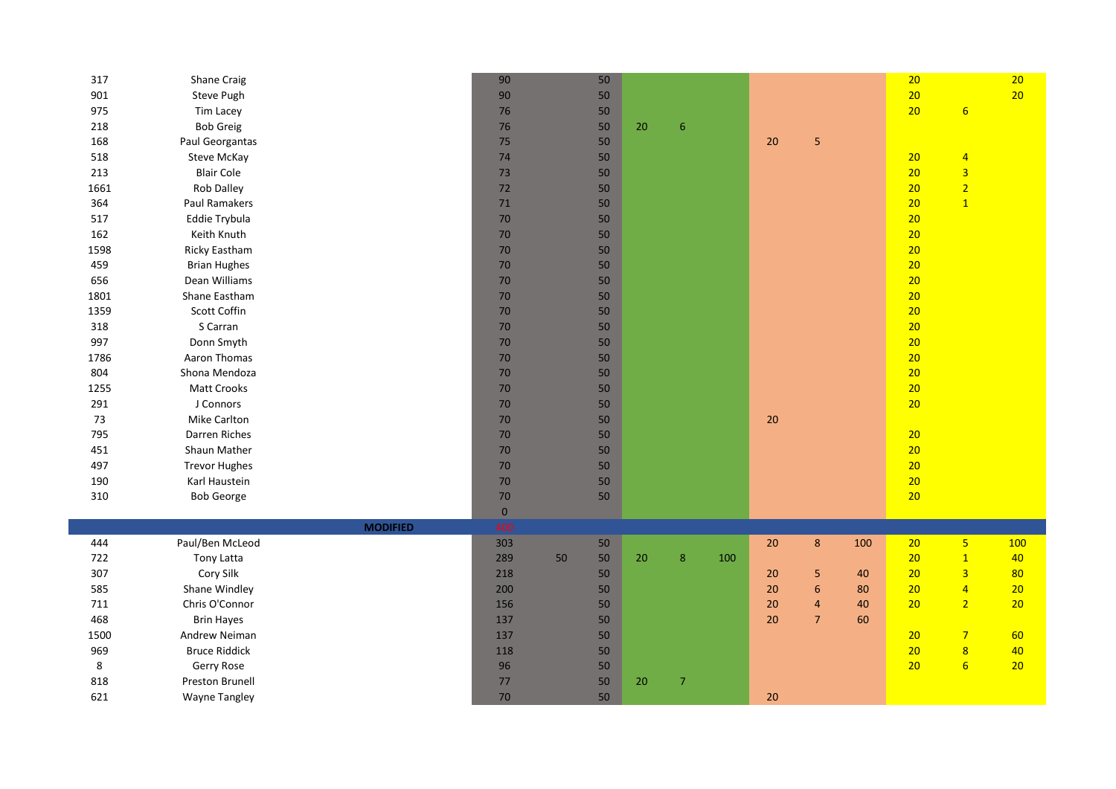| 317  | Shane Craig          |                 | 90          |    | 50 |    |                  |     |    |                  |     | 20 |                         | 20  |
|------|----------------------|-----------------|-------------|----|----|----|------------------|-----|----|------------------|-----|----|-------------------------|-----|
| 901  | Steve Pugh           |                 | 90          |    | 50 |    |                  |     |    |                  |     | 20 |                         | 20  |
| 975  | Tim Lacey            |                 | 76          |    | 50 |    |                  |     |    |                  |     | 20 | 6                       |     |
| 218  | <b>Bob Greig</b>     |                 | 76          |    | 50 | 20 | $\boldsymbol{6}$ |     |    |                  |     |    |                         |     |
| 168  | Paul Georgantas      |                 | 75          |    | 50 |    |                  |     | 20 | 5                |     |    |                         |     |
| 518  | Steve McKay          |                 | 74          |    | 50 |    |                  |     |    |                  |     | 20 | $\overline{4}$          |     |
| 213  | <b>Blair Cole</b>    |                 | 73          |    | 50 |    |                  |     |    |                  |     | 20 | $\overline{3}$          |     |
| 1661 | <b>Rob Dalley</b>    |                 | 72          |    | 50 |    |                  |     |    |                  |     | 20 | $\overline{2}$          |     |
| 364  | Paul Ramakers        |                 | 71          |    | 50 |    |                  |     |    |                  |     | 20 | $\mathbf{1}$            |     |
| 517  | Eddie Trybula        |                 | 70          |    | 50 |    |                  |     |    |                  |     | 20 |                         |     |
| 162  | Keith Knuth          |                 | 70          |    | 50 |    |                  |     |    |                  |     | 20 |                         |     |
| 1598 | <b>Ricky Eastham</b> |                 | 70          |    | 50 |    |                  |     |    |                  |     | 20 |                         |     |
| 459  | <b>Brian Hughes</b>  |                 | 70          |    | 50 |    |                  |     |    |                  |     | 20 |                         |     |
| 656  | Dean Williams        |                 | 70          |    | 50 |    |                  |     |    |                  |     | 20 |                         |     |
| 1801 | Shane Eastham        |                 | 70          |    | 50 |    |                  |     |    |                  |     | 20 |                         |     |
| 1359 | Scott Coffin         |                 | 70          |    | 50 |    |                  |     |    |                  |     | 20 |                         |     |
| 318  | S Carran             |                 | 70          |    | 50 |    |                  |     |    |                  |     | 20 |                         |     |
| 997  | Donn Smyth           |                 | 70          |    | 50 |    |                  |     |    |                  |     | 20 |                         |     |
| 1786 | Aaron Thomas         |                 | 70          |    | 50 |    |                  |     |    |                  |     | 20 |                         |     |
| 804  | Shona Mendoza        |                 | 70          |    | 50 |    |                  |     |    |                  |     | 20 |                         |     |
| 1255 | Matt Crooks          |                 | 70          |    | 50 |    |                  |     |    |                  |     | 20 |                         |     |
| 291  | J Connors            |                 | 70          |    | 50 |    |                  |     |    |                  |     | 20 |                         |     |
| 73   | Mike Carlton         |                 | $70\,$      |    | 50 |    |                  |     | 20 |                  |     |    |                         |     |
| 795  | Darren Riches        |                 | 70          |    | 50 |    |                  |     |    |                  |     | 20 |                         |     |
| 451  | Shaun Mather         |                 | 70          |    | 50 |    |                  |     |    |                  |     | 20 |                         |     |
| 497  | <b>Trevor Hughes</b> |                 | 70          |    | 50 |    |                  |     |    |                  |     | 20 |                         |     |
| 190  | Karl Haustein        |                 | 70          |    | 50 |    |                  |     |    |                  |     | 20 |                         |     |
| 310  | <b>Bob George</b>    |                 | 70          |    | 50 |    |                  |     |    |                  |     | 20 |                         |     |
|      |                      |                 | $\mathbf 0$ |    |    |    |                  |     |    |                  |     |    |                         |     |
|      |                      | <b>MODIFIED</b> | 400         |    |    |    |                  |     |    |                  |     |    |                         |     |
| 444  | Paul/Ben McLeod      |                 | 303         |    | 50 |    |                  |     | 20 | $8\phantom{1}$   | 100 | 20 | 5 <sub>1</sub>          | 100 |
| 722  | <b>Tony Latta</b>    |                 | 289         | 50 | 50 | 20 | 8                | 100 |    |                  |     | 20 | $\mathbf{1}$            | 40  |
| 307  | Cory Silk            |                 | 218         |    | 50 |    |                  |     | 20 | 5                | 40  | 20 | $\overline{3}$          | 80  |
| 585  | Shane Windley        |                 | 200         |    | 50 |    |                  |     | 20 | $\boldsymbol{6}$ | 80  | 20 | $\overline{4}$          | 20  |
| 711  | Chris O'Connor       |                 | 156         |    | 50 |    |                  |     | 20 | $\overline{4}$   | 40  | 20 | 2 <sup>1</sup>          | 20  |
| 468  | <b>Brin Hayes</b>    |                 | 137         |    | 50 |    |                  |     | 20 | $\overline{7}$   | 60  |    |                         |     |
| 1500 | Andrew Neiman        |                 | 137         |    | 50 |    |                  |     |    |                  |     | 20 | $\overline{7}$          | 60  |
| 969  | <b>Bruce Riddick</b> |                 | 118         |    | 50 |    |                  |     |    |                  |     | 20 | $\overline{\mathbf{8}}$ | 40  |
| 8    | Gerry Rose           |                 | 96          |    | 50 |    |                  |     |    |                  |     | 20 | $6\overline{6}$         | 20  |
| 818  | Preston Brunell      |                 | 77          |    | 50 | 20 | $\overline{7}$   |     |    |                  |     |    |                         |     |
| 621  | <b>Wayne Tangley</b> |                 | $70\,$      |    | 50 |    |                  |     | 20 |                  |     |    |                         |     |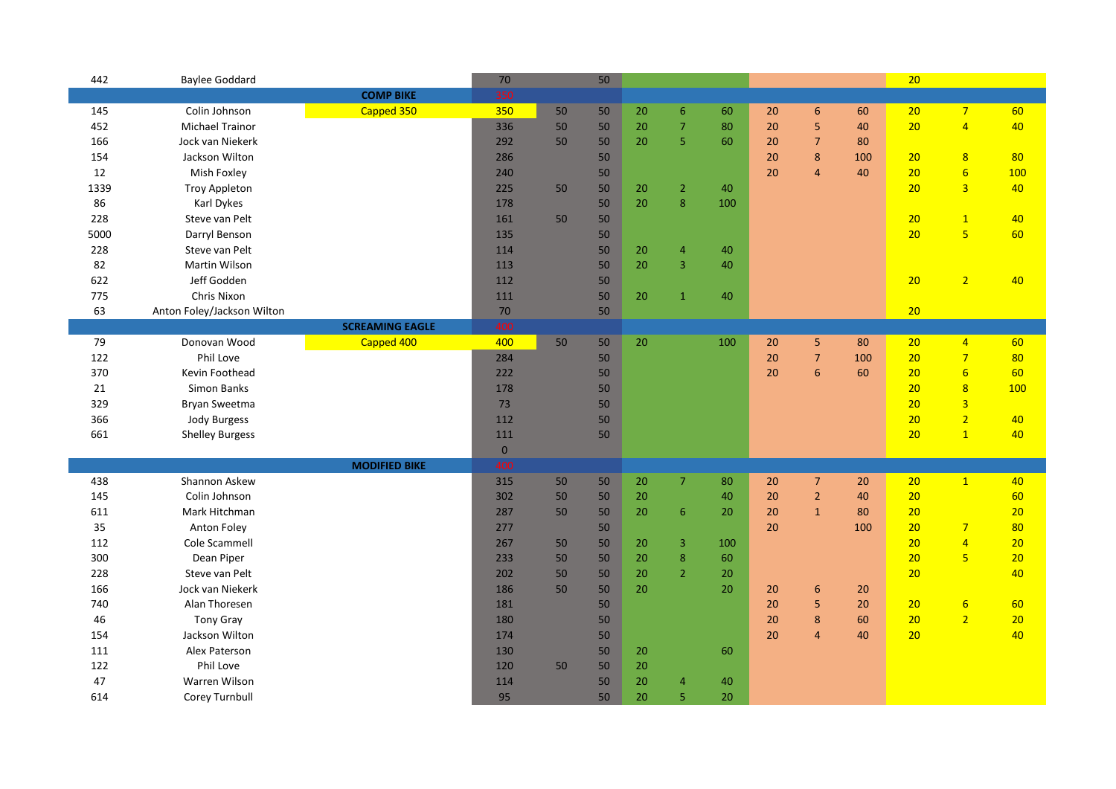| 442  | <b>Baylee Goddard</b>      |                        | 70          |    | 50 |    |                 |     |    |                 |     | 20 |                  |     |
|------|----------------------------|------------------------|-------------|----|----|----|-----------------|-----|----|-----------------|-----|----|------------------|-----|
|      |                            | <b>COMP BIKE</b>       | 350         |    |    |    |                 |     |    |                 |     |    |                  |     |
| 145  | Colin Johnson              | Capped 350             | 350         | 50 | 50 | 20 | $6\overline{6}$ | 60  | 20 | 6               | 60  | 20 | $7\overline{}$   | 60  |
| 452  | <b>Michael Trainor</b>     |                        | 336         | 50 | 50 | 20 | $\overline{7}$  | 80  | 20 | 5               | 40  | 20 | $\overline{4}$   | 40  |
| 166  | Jock van Niekerk           |                        | 292         | 50 | 50 | 20 | 5               | 60  | 20 | $\overline{7}$  | 80  |    |                  |     |
| 154  | Jackson Wilton             |                        | 286         |    | 50 |    |                 |     | 20 | 8               | 100 | 20 | 8                | 80  |
| 12   | Mish Foxley                |                        | 240         |    | 50 |    |                 |     | 20 | $\overline{4}$  | 40  | 20 | $6\overline{6}$  | 100 |
| 1339 | <b>Troy Appleton</b>       |                        | 225         | 50 | 50 | 20 | $\overline{2}$  | 40  |    |                 |     | 20 | $\overline{3}$   | 40  |
| 86   | Karl Dykes                 |                        | 178         |    | 50 | 20 | $\bf 8$         | 100 |    |                 |     |    |                  |     |
| 228  | Steve van Pelt             |                        | 161         | 50 | 50 |    |                 |     |    |                 |     | 20 | $\mathbf{1}$     | 40  |
| 5000 | Darryl Benson              |                        | 135         |    | 50 |    |                 |     |    |                 |     | 20 | $\overline{5}$   | 60  |
| 228  | Steve van Pelt             |                        | 114         |    | 50 | 20 | $\overline{4}$  | 40  |    |                 |     |    |                  |     |
| 82   | Martin Wilson              |                        | 113         |    | 50 | 20 | 3               | 40  |    |                 |     |    |                  |     |
| 622  | Jeff Godden                |                        | 112         |    | 50 |    |                 |     |    |                 |     | 20 | $\overline{2}$   | 40  |
| 775  | Chris Nixon                |                        | 111         |    | 50 | 20 | $\mathbf{1}$    | 40  |    |                 |     |    |                  |     |
| 63   | Anton Foley/Jackson Wilton |                        | $70$        |    | 50 |    |                 |     |    |                 |     | 20 |                  |     |
|      |                            | <b>SCREAMING EAGLE</b> | 400         |    |    |    |                 |     |    |                 |     |    |                  |     |
| 79   | Donovan Wood               | Capped 400             | 400         | 50 | 50 | 20 |                 | 100 | 20 | 5               | 80  | 20 | $\overline{4}$   | 60  |
| 122  | Phil Love                  |                        | 284         |    | 50 |    |                 |     | 20 | $\overline{7}$  | 100 | 20 | $\overline{7}$   | 80  |
| 370  | Kevin Foothead             |                        | 222         |    | 50 |    |                 |     | 20 | $6\phantom{1}6$ | 60  | 20 | $6\overline{6}$  | 60  |
| 21   | Simon Banks                |                        | 178         |    | 50 |    |                 |     |    |                 |     | 20 | $\overline{8}$   | 100 |
| 329  | Bryan Sweetma              |                        | 73          |    | 50 |    |                 |     |    |                 |     | 20 | $\overline{3}$   |     |
| 366  | <b>Jody Burgess</b>        |                        | 112         |    | 50 |    |                 |     |    |                 |     | 20 | $\overline{2}$   | 40  |
| 661  | <b>Shelley Burgess</b>     |                        | 111         |    | 50 |    |                 |     |    |                 |     | 20 | $\overline{1}$   | 40  |
|      |                            |                        | $\mathbf 0$ |    |    |    |                 |     |    |                 |     |    |                  |     |
|      |                            | <b>MODIFIED BIKE</b>   | 400         |    |    |    |                 |     |    |                 |     |    |                  |     |
| 438  | Shannon Askew              |                        | 315         | 50 | 50 | 20 | $\overline{7}$  | 80  | 20 | $\overline{7}$  | 20  | 20 | $\mathbf{1}$     | 40  |
| 145  | Colin Johnson              |                        | 302         | 50 | 50 | 20 |                 | 40  | 20 | $\overline{2}$  | 40  | 20 |                  | 60  |
| 611  | Mark Hitchman              |                        | 287         | 50 | 50 | 20 | 6               | 20  | 20 | $\mathbf{1}$    | 80  | 20 |                  | 20  |
| 35   | Anton Foley                |                        | 277         |    | 50 |    |                 |     | 20 |                 | 100 | 20 | $\overline{7}$   | 80  |
| 112  | Cole Scammell              |                        | 267         | 50 | 50 | 20 | 3               | 100 |    |                 |     | 20 | $\overline{4}$   | 20  |
| 300  | Dean Piper                 |                        | 233         | 50 | 50 | 20 | $\bf 8$         | 60  |    |                 |     | 20 | $5\phantom{a}$   | 20  |
| 228  | Steve van Pelt             |                        | 202         | 50 | 50 | 20 | $\overline{2}$  | 20  |    |                 |     | 20 |                  | 40  |
| 166  | Jock van Niekerk           |                        | 186         | 50 | 50 | 20 |                 | 20  | 20 | $6\phantom{1}6$ | 20  |    |                  |     |
| 740  | Alan Thoresen              |                        | 181         |    | 50 |    |                 |     | 20 | 5               | 20  | 20 | $6 \overline{6}$ | 60  |
| 46   | <b>Tony Gray</b>           |                        | 180         |    | 50 |    |                 |     | 20 | 8               | 60  | 20 | $\overline{2}$   | 20  |
| 154  | Jackson Wilton             |                        | 174         |    | 50 |    |                 |     | 20 | $\overline{a}$  | 40  | 20 |                  | 40  |
| 111  | Alex Paterson              |                        | 130         |    | 50 | 20 |                 | 60  |    |                 |     |    |                  |     |
| 122  | Phil Love                  |                        | 120         | 50 | 50 | 20 |                 |     |    |                 |     |    |                  |     |
| 47   | Warren Wilson              |                        | 114         |    | 50 | 20 | 4               | 40  |    |                 |     |    |                  |     |
| 614  | Corey Turnbull             |                        | 95          |    | 50 | 20 | 5               | 20  |    |                 |     |    |                  |     |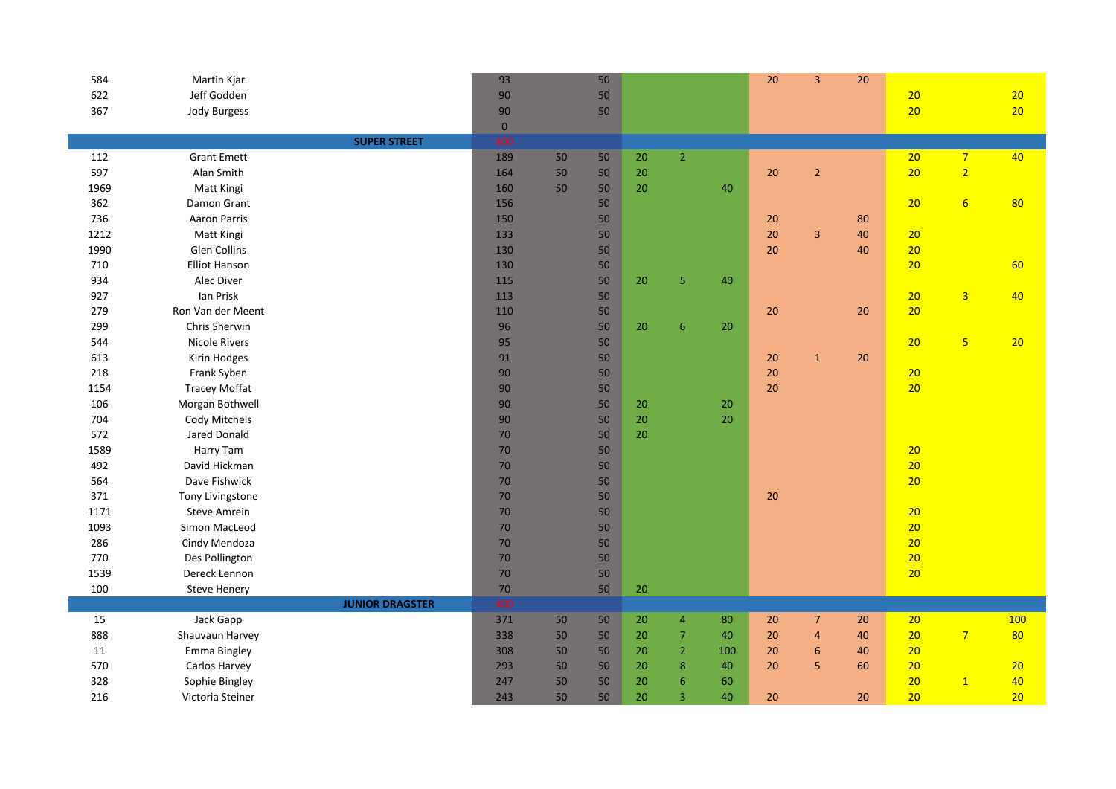| 584  | Martin Kjar          |                        | 93          |    | 50 |        |                          |        | 20     | $\overline{3}$   | 20 |    |                         |     |
|------|----------------------|------------------------|-------------|----|----|--------|--------------------------|--------|--------|------------------|----|----|-------------------------|-----|
| 622  | Jeff Godden          |                        | 90          |    | 50 |        |                          |        |        |                  |    | 20 |                         | 20  |
| 367  | Jody Burgess         |                        | 90          |    | 50 |        |                          |        |        |                  |    | 20 |                         | 20  |
|      |                      |                        | $\mathbf 0$ |    |    |        |                          |        |        |                  |    |    |                         |     |
|      |                      | <b>SUPER STREET</b>    | 400         |    |    |        |                          |        |        |                  |    |    |                         |     |
| 112  | <b>Grant Emett</b>   |                        | 189         | 50 | 50 | $20\,$ | $\mathbf 2$              |        |        |                  |    | 20 | 7 <sup>7</sup>          | 40  |
| 597  | Alan Smith           |                        | 164         | 50 | 50 | 20     |                          |        | 20     | $\overline{2}$   |    | 20 | $\overline{2}$          |     |
| 1969 | Matt Kingi           |                        | 160         | 50 | 50 | 20     |                          | 40     |        |                  |    |    |                         |     |
| 362  | Damon Grant          |                        | 156         |    | 50 |        |                          |        |        |                  |    | 20 | $6\overline{6}$         | 80  |
| 736  | Aaron Parris         |                        | 150         |    | 50 |        |                          |        | 20     |                  | 80 |    |                         |     |
| 1212 | Matt Kingi           |                        | 133         |    | 50 |        |                          |        | 20     | $\overline{3}$   | 40 | 20 |                         |     |
| 1990 | Glen Collins         |                        | 130         |    | 50 |        |                          |        | 20     |                  | 40 | 20 |                         |     |
| 710  | <b>Elliot Hanson</b> |                        | 130         |    | 50 |        |                          |        |        |                  |    | 20 |                         | 60  |
| 934  | Alec Diver           |                        | 115         |    | 50 | 20     | $\overline{5}$           | 40     |        |                  |    |    |                         |     |
| 927  | Ian Prisk            |                        | 113         |    | 50 |        |                          |        |        |                  |    | 20 | $\overline{3}$          | 40  |
| 279  | Ron Van der Meent    |                        | 110         |    | 50 |        |                          |        | 20     |                  | 20 | 20 |                         |     |
| 299  | Chris Sherwin        |                        | 96          |    | 50 | 20     | 6                        | 20     |        |                  |    |    |                         |     |
| 544  | <b>Nicole Rivers</b> |                        | 95          |    | 50 |        |                          |        |        |                  |    | 20 | $\overline{\mathbf{5}}$ | 20  |
| 613  | Kirin Hodges         |                        | 91          |    | 50 |        |                          |        | 20     | $\mathbf{1}$     | 20 |    |                         |     |
| 218  | Frank Syben          |                        | 90          |    | 50 |        |                          |        | 20     |                  |    | 20 |                         |     |
| 1154 | <b>Tracey Moffat</b> |                        | 90          |    | 50 |        |                          |        | 20     |                  |    | 20 |                         |     |
| 106  | Morgan Bothwell      |                        | 90          |    | 50 | 20     |                          | $20\,$ |        |                  |    |    |                         |     |
| 704  | Cody Mitchels        |                        | 90          |    | 50 | 20     |                          | 20     |        |                  |    |    |                         |     |
| 572  | Jared Donald         |                        | 70          |    | 50 | 20     |                          |        |        |                  |    |    |                         |     |
| 1589 | Harry Tam            |                        | 70          |    | 50 |        |                          |        |        |                  |    | 20 |                         |     |
| 492  | David Hickman        |                        | 70          |    | 50 |        |                          |        |        |                  |    | 20 |                         |     |
| 564  | Dave Fishwick        |                        | 70          |    | 50 |        |                          |        |        |                  |    | 20 |                         |     |
| 371  | Tony Livingstone     |                        | 70          |    | 50 |        |                          |        | 20     |                  |    |    |                         |     |
| 1171 | <b>Steve Amrein</b>  |                        | 70          |    | 50 |        |                          |        |        |                  |    | 20 |                         |     |
| 1093 | Simon MacLeod        |                        | 70          |    | 50 |        |                          |        |        |                  |    | 20 |                         |     |
| 286  | Cindy Mendoza        |                        | 70          |    | 50 |        |                          |        |        |                  |    | 20 |                         |     |
| 770  | Des Pollington       |                        | 70          |    | 50 |        |                          |        |        |                  |    | 20 |                         |     |
| 1539 | Dereck Lennon        |                        | $70\,$      |    | 50 |        |                          |        |        |                  |    | 20 |                         |     |
| 100  | <b>Steve Henery</b>  |                        | $70\,$      |    | 50 | $20\,$ |                          |        |        |                  |    |    |                         |     |
|      |                      | <b>JUNIOR DRAGSTER</b> | 400         |    |    |        |                          |        |        |                  |    |    |                         |     |
| 15   | Jack Gapp            |                        | 371         | 50 | 50 | 20     | $\overline{4}$           | 80     | $20\,$ | $\overline{7}$   | 20 | 20 |                         | 100 |
| 888  | Shauvaun Harvey      |                        | 338         | 50 | 50 | 20     | $\overline{\mathcal{I}}$ | 40     | 20     | $\overline{4}$   | 40 | 20 | 7 <sup>1</sup>          | 80  |
| 11   | Emma Bingley         |                        | 308         | 50 | 50 | 20     | $\mathbf 2$              | 100    | 20     | $\boldsymbol{6}$ | 40 | 20 |                         |     |
| 570  | Carlos Harvey        |                        | 293         | 50 | 50 | 20     | $\bf 8$                  | 40     | 20     | 5                | 60 | 20 |                         | 20  |
| 328  | Sophie Bingley       |                        | 247         | 50 | 50 | 20     | $\boldsymbol{6}$         | 60     |        |                  |    | 20 | $\mathbf{1}$            | 40  |
| 216  | Victoria Steiner     |                        | 243         | 50 | 50 | 20     | 3                        | 40     | 20     |                  | 20 | 20 |                         | 20  |